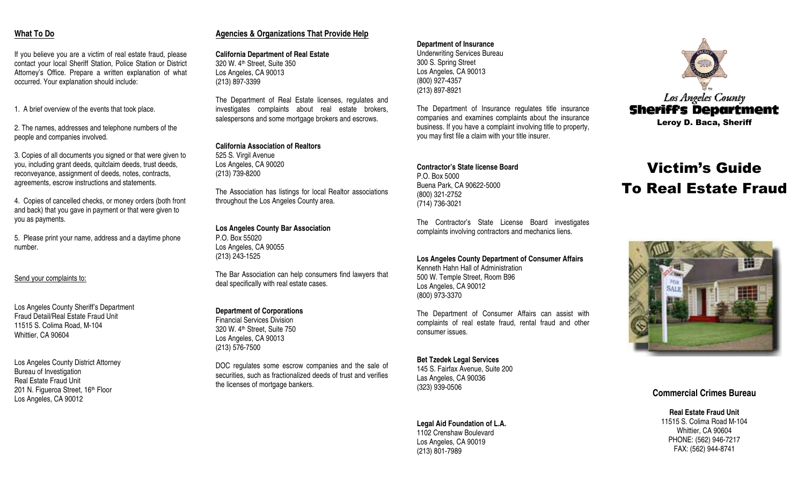# **What ToDo**

If you believe you are <sup>a</sup> victim of real estate fraud, please contact your local Sheriff Station, Police Station or District Attorney's Office. Prepare <sup>a</sup> written explanation of what occurred. Your explanation should include:

1. A brief overview of the events that took place.

2. The names, addresses and telephone numbers of the people and companies involved.

3. Copies of all documents you signed or that were given to you, including grant deeds, quitclaim deeds, trust deeds, reconveyance, assignment of deeds, notes, contracts, agreements, escrow instructions and statements.

4. Copies of cancelled checks, or money orders (both front and back) that you gave in payment or that were given to you as payments.

5. Please print your name, address and <sup>a</sup> daytime phone number.

# Send your complaints to:

Los Angeles County Sheriff's Department Fraud Detail/Real Estate Fraud Unit 11515 S. Colima Road, M-104 Whittier, C A 90604

Los Angeles County District Attorney Bureau of Investigation Real Estate Fraud Unit 201 N. Figueroa Street, 16<sup>th</sup> Floor Los Angeles, C A 90012

# **A g encies & Org anizations That Pro vid e H elp**

**California Department of Real Estate** 320 W. 4th Street, Suite 350 Los Angeles, C A 90013 (213) 897-3399

The Department of Real Estate licenses, regulates and investigates complaints about real estate brokers, salespersons and some mortgage brokers and escrows.

# **California Association of Realtors**

525 S. Virgil Avenue Los Angeles, C A 90020 (213) 739-8200

The Association has listings for local Realtor associations throughout the Los Angeles County area.

**Los Angeles County Bar Association** P.O. Box 55020Los Angeles, C A 90055 (213) 243-1525

The Bar Association can help consumers find lawyers that deal specifically with real estate cases.

# **Department of Corporations**

Financial Services Division320 W. 4th Street, Suite 750 Los Angeles, C A 90013 (213) 576-7500

DOC regulates some escrow companies and the sale of securities, such as fractionalized deeds of trust and verifies the licenses of mortgage bankers.

# **Department of Insurance** Underwriting Services Bureau 300 S. Spring Street Los Angeles, C A 90013

(800) 927-4357 (213) 897-8921

The Department of Insurance regulates title insurance companies and examines complaints about the insurance business. If you have <sup>a</sup> complaint involving title to property, you may first file <sup>a</sup> claim with your title insurer.

## **Contractor's State license Board**P.O. Box 5000Buena Park, C A 90622-5000 (800) 321-2752

(714) 736-3021

The Contractor's State License Board investigates complaints involving contractors and mechanics liens.

**Los Angeles County Department of Consumer Affairs** Kenneth Hahn Hall of Administration 500 W. Temple Street, Room B96Los Angeles, C A 90012 (800) 973-3370

The Department of Consumer Affairs can assist with complaints of real estate fraud, rental fraud and other consumer issues.

#### **Bet Tzedek Legal Services** 145 S. Fairfax Avenue, Suite 200 Las Angeles, C A 90036 (323) 939-0506

# **Legal Aid Foundation of L.A.**

1102 Crenshaw Boulevard Los Angeles, C A 90019 (213) 801-7989



# **Victim's Guide** To Real Estate Fraud



# **Commercial CrimesBureau**

**Real Estate Fraud Unit** 11515 S. Colima Road M-104 Whittier, C A 90604 PH O NE: (562) 946-7217 FA X: (562) 944-8741